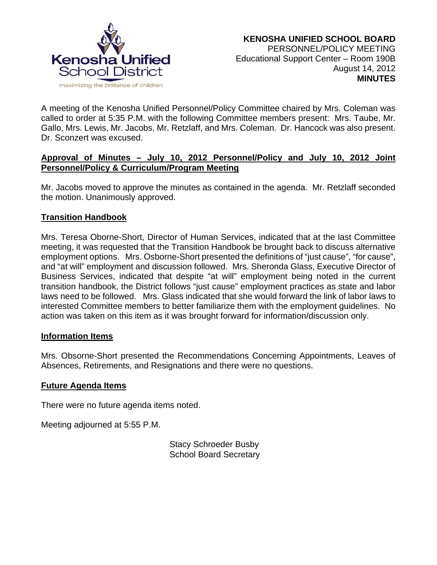

A meeting of the Kenosha Unified Personnel/Policy Committee chaired by Mrs. Coleman was called to order at 5:35 P.M. with the following Committee members present: Mrs. Taube, Mr. Gallo, Mrs. Lewis, Mr. Jacobs, Mr. Retzlaff, and Mrs. Coleman. Dr. Hancock was also present. Dr. Sconzert was excused.

## **Approval of Minutes – July 10, 2012 Personnel/Policy and July 10, 2012 Joint Personnel/Policy & Curriculum/Program Meeting**

Mr. Jacobs moved to approve the minutes as contained in the agenda. Mr. Retzlaff seconded the motion. Unanimously approved.

## **Transition Handbook**

Mrs. Teresa Oborne-Short, Director of Human Services, indicated that at the last Committee meeting, it was requested that the Transition Handbook be brought back to discuss alternative employment options. Mrs. Osborne-Short presented the definitions of "just cause", "for cause", and "at will" employment and discussion followed. Mrs. Sheronda Glass, Executive Director of Business Services, indicated that despite "at will" employment being noted in the current transition handbook, the District follows "just cause" employment practices as state and labor laws need to be followed. Mrs. Glass indicated that she would forward the link of labor laws to interested Committee members to better familiarize them with the employment guidelines. No action was taken on this item as it was brought forward for information/discussion only.

#### **Information Items**

Mrs. Obsorne-Short presented the Recommendations Concerning Appointments, Leaves of Absences, Retirements, and Resignations and there were no questions.

### **Future Agenda Items**

There were no future agenda items noted.

Meeting adjourned at 5:55 P.M.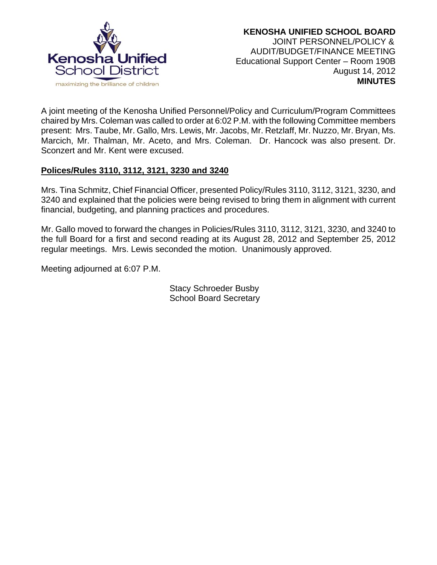

A joint meeting of the Kenosha Unified Personnel/Policy and Curriculum/Program Committees chaired by Mrs. Coleman was called to order at 6:02 P.M. with the following Committee members present: Mrs. Taube, Mr. Gallo, Mrs. Lewis, Mr. Jacobs, Mr. Retzlaff, Mr. Nuzzo, Mr. Bryan, Ms. Marcich, Mr. Thalman, Mr. Aceto, and Mrs. Coleman. Dr. Hancock was also present. Dr. Sconzert and Mr. Kent were excused.

# **Polices/Rules 3110, 3112, 3121, 3230 and 3240**

Mrs. Tina Schmitz, Chief Financial Officer, presented Policy/Rules 3110, 3112, 3121, 3230, and 3240 and explained that the policies were being revised to bring them in alignment with current financial, budgeting, and planning practices and procedures.

Mr. Gallo moved to forward the changes in Policies/Rules 3110, 3112, 3121, 3230, and 3240 to the full Board for a first and second reading at its August 28, 2012 and September 25, 2012 regular meetings. Mrs. Lewis seconded the motion. Unanimously approved.

Meeting adjourned at 6:07 P.M.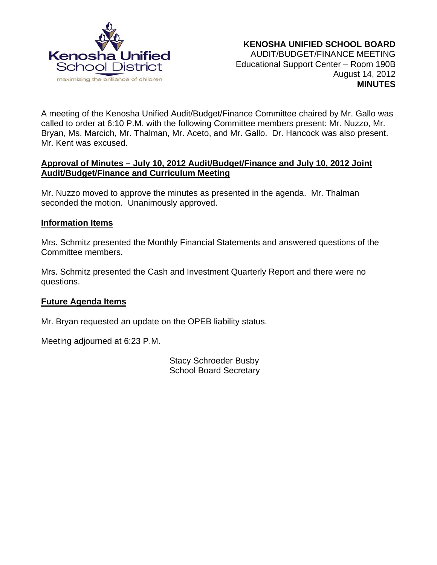

A meeting of the Kenosha Unified Audit/Budget/Finance Committee chaired by Mr. Gallo was called to order at 6:10 P.M. with the following Committee members present: Mr. Nuzzo, Mr. Bryan, Ms. Marcich, Mr. Thalman, Mr. Aceto, and Mr. Gallo. Dr. Hancock was also present. Mr. Kent was excused.

### **Approval of Minutes – July 10, 2012 Audit/Budget/Finance and July 10, 2012 Joint Audit/Budget/Finance and Curriculum Meeting**

Mr. Nuzzo moved to approve the minutes as presented in the agenda. Mr. Thalman seconded the motion. Unanimously approved.

## **Information Items**

Mrs. Schmitz presented the Monthly Financial Statements and answered questions of the Committee members.

Mrs. Schmitz presented the Cash and Investment Quarterly Report and there were no questions.

### **Future Agenda Items**

Mr. Bryan requested an update on the OPEB liability status.

Meeting adjourned at 6:23 P.M.